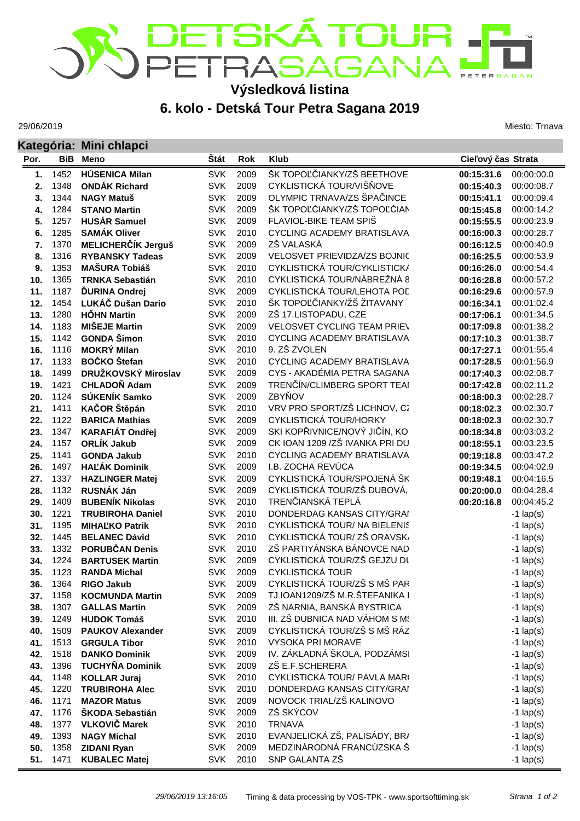## DETSKÁTOUR<br>PETRASAGANA! **TERSAGAN**

## **Výsledková listina**

**6. kolo - Detská Tour Petra Sagana 2019**

29/06/2019

Miesto: Trnava

|            |              | Kategória: Mini chlapci                       |                          |              |                                                 |                          |                            |  |
|------------|--------------|-----------------------------------------------|--------------------------|--------------|-------------------------------------------------|--------------------------|----------------------------|--|
| Por.       | <b>BiB</b>   | <b>Meno</b>                                   | Štát                     | Rok          | <b>Klub</b>                                     |                          | Cieľový čas Strata         |  |
| 1.         | 1452         | <b>HÚSENICA Milan</b>                         | <b>SVK</b>               | 2009         | ŠK TOPOĽČIANKY/ZŠ BEETHOVE                      | 00:15:31.6               | 00:00:00.0                 |  |
| 2.         | 1348         | <b>ONDÁK Richard</b>                          | <b>SVK</b>               | 2009         | CYKLISTICKÁ TOUR/VIŠŇOVE                        | 00:15:40.3               | 00:00:08.7                 |  |
| 3.         | 1344         | <b>NAGY Matuš</b>                             | <b>SVK</b>               | 2009         | OLYMPIC TRNAVA/ZS ŠPAČINCE                      | 00:00:09.4<br>00:15:41.1 |                            |  |
| 4.         | 1284         | <b>STANO Martin</b>                           | <b>SVK</b>               | 2009         | ŠK TOPOĽČIANKY/ZŠ TOPOĽČIAN                     | 00:00:14.2<br>00:15:45.8 |                            |  |
| 5.         | 1257         | <b>HUSÁR Samuel</b>                           | <b>SVK</b>               | 2009         | FLAVIOL-BIKE TEAM SPIŠ                          | 00:00:23.9<br>00:15:55.5 |                            |  |
| 6.         | 1285         | <b>SAMÁK Oliver</b>                           | <b>SVK</b>               | 2010         | CYCLING ACADEMY BRATISLAVA                      | 00:00:28.7<br>00:16:00.3 |                            |  |
| 7.         | 1370         | <b>MELICHERČÍK Jerguš</b>                     | <b>SVK</b>               | 2009         | ZŠ VALASKÁ                                      | 00:00:40.9<br>00:16:12.5 |                            |  |
| 8.         | 1316         | <b>RYBANSKY Tadeas</b>                        | <b>SVK</b>               | 2009         | VELOSVET PRIEVIDZA/ZS BOJNIC                    | 00:16:25.5               | 00:00:53.9                 |  |
| 9.         | 1353         | <b>MAŠURA Tobiáš</b>                          | <b>SVK</b>               | 2010         | CYKLISTICKÁ TOUR/CYKLISTICKÁ                    | 00:16:26.0<br>00:00:54.4 |                            |  |
| 10.        | 1365         | <b>TRNKA Sebastián</b>                        | <b>SVK</b>               | 2010         | CYKLISTICKÁ TOUR/NÁBREŽNÁ 8                     | 00:16:28.8<br>00:00:57.2 |                            |  |
| 11.        | 1187         | ĎURINA Ondrej                                 | <b>SVK</b>               | 2009         | CYKLISTICKÁ TOUR/LEHOTA POL                     | 00:16:29.6<br>00:00:57.9 |                            |  |
| 12.        | 1454         | LUKÁČ Dušan Dario                             | <b>SVK</b>               | 2010         | ŠK TOPOĽČIANKY/ŽŠ ŽITAVANY                      | 00:01:02.4<br>00:16:34.1 |                            |  |
| 13.        | 1280         | <b>HŐHN Martin</b>                            | <b>SVK</b>               | 2009         | ZŠ 17.LISTOPADU, CZE                            | 00:17:06.1               | 00:01:34.5                 |  |
| 14.        | 1183         | <b>MIŠEJE Martin</b>                          | <b>SVK</b>               | 2009         | <b>VELOSVET CYCLING TEAM PRIEV</b>              | 00:17:09.8               | 00:01:38.2                 |  |
| 15.        | 1142         | <b>GONDA Šimon</b>                            | <b>SVK</b>               | 2010         | CYCLING ACADEMY BRATISLAVA                      | 00:17:10.3               | 00:01:38.7                 |  |
| 16.        | 1116         | <b>MOKRÝ Milan</b>                            | <b>SVK</b>               | 2010         | 9. ZŠ ZVOLEN                                    | 00:17:27.1               | 00:01:55.4                 |  |
| 17.        | 1133         | <b>BOČKO</b> Štefan                           | <b>SVK</b>               | 2010         | CYCLING ACADEMY BRATISLAVA                      | 00:17:28.5               | 00:01:56.9                 |  |
| 18.        | 1499         | DRUŽKOVSKÝ Miroslav                           | <b>SVK</b>               | 2009         | CYS - AKADÉMIA PETRA SAGANA                     | 00:17:40.3               | 00:02:08.7                 |  |
| 19.        | 1421         | <b>CHLADOŇ Adam</b>                           | <b>SVK</b>               | 2009         | TRENČÍN/CLIMBERG SPORT TEAI                     | 00:17:42.8               | 00:02:11.2                 |  |
| 20.        | 1124         | SÚKENÍK Samko                                 | <b>SVK</b>               | 2009         | ZBYŇOV                                          | 00:18:00.3               | 00:02:28.7                 |  |
| 21.        | 1411         | KAČOR Štěpán                                  | <b>SVK</b>               | 2010         | VRV PRO SPORT/ZŠ LICHNOV, CZ                    | 00:18:02.3               | 00:02:30.7                 |  |
| 22.        | 1122         | <b>BARICA Mathias</b>                         | <b>SVK</b>               | 2009         | CYKLISTICKÁ TOUR/HORKY                          | 00:18:02.3               | 00:02:30.7                 |  |
| 23.        | 1347         | <b>KARAFIÁT Ondřej</b>                        | <b>SVK</b>               | 2009         | SKI KOPŘIVNICE/NOVÝ JIČÍN, KOI                  | 00:18:34.8               | 00:03:03.2                 |  |
| 24.        | 1157         | <b>ORLÍK Jakub</b>                            | <b>SVK</b>               | 2009         | CK IOAN 1209 / ZŠ IVANKA PRI DU                 | 00:18:55.1               | 00:03:23.5                 |  |
| 25.        | 1141         | <b>GONDA Jakub</b>                            | <b>SVK</b>               | 2010         | CYCLING ACADEMY BRATISLAVA                      | 00:19:18.8               | 00:03:47.2                 |  |
| 26.        | 1497         | <b>HAĽÁK Dominik</b>                          | <b>SVK</b>               | 2009         | I.B. ZOCHA REVÚCA                               | 00:19:34.5               | 00:04:02.9                 |  |
| 27.        | 1337         | <b>HAZLINGER Matej</b>                        | <b>SVK</b>               | 2009         | CYKLISTICKÁ TOUR/SPOJENÁ ŠK                     | 00:19:48.1               | 00:04:16.5                 |  |
| 28.        | 1132         | RUSNÁK Ján                                    | <b>SVK</b>               | 2009         | CYKLISTICKÁ TOUR/ZŠ DUBOVÁ,                     | 00:20:00.0               | 00:04:28.4                 |  |
| 29.        | 1409         | <b>BUBENÍK Nikolas</b>                        | <b>SVK</b>               | 2010         | TRENČIANSKÁ TEPLÁ<br>DONDERDAG KANSAS CITY/GRAI | 00:20:16.8               | 00:04:45.2                 |  |
| 30.        | 1221         | <b>TRUBIROHA Daniel</b>                       | <b>SVK</b>               | 2010<br>2010 | CYKLISTICKÁ TOUR/ NA BIELENIS                   |                          | $-1$ lap(s)                |  |
| 31.        | 1195<br>1445 | <b>MIHALKO Patrik</b><br><b>BELANEC Dávid</b> | <b>SVK</b><br><b>SVK</b> | 2010         | CYKLISTICKÁ TOUR/ZŠ ORAVSK                      |                          | $-1$ lap(s)                |  |
| 32.<br>33. | 1332         | PORUBČAN Denis                                | <b>SVK</b>               | 2010         | ZŠ PARTIYÁNSKA BÁNOVCE NAD                      |                          | $-1$ lap(s)<br>$-1$ lap(s) |  |
| 34.        | 1224         | <b>BARTUSEK Martin</b>                        | <b>SVK</b>               | 2009         | CYKLISTICKÁ TOUR/ZŠ GEJZU DL                    |                          | $-1$ lap(s)                |  |
| 35.        | 1123         | <b>RANDA Michal</b>                           | <b>SVK</b>               | 2009         | <b>CYKLISTICKÁ TOUR</b>                         |                          |                            |  |
| 36.        | 1364         | <b>RIGO Jakub</b>                             | SVK                      | 2009         | CYKLISTICKÁ TOUR/ZŠ S MŠ PAR                    |                          | $-1$ lap(s)<br>$-1$ lap(s) |  |
| 37.        | 1158         | <b>KOCMUNDA Martin</b>                        | <b>SVK</b>               | 2009         | TJ IOAN1209/ZŠ M.R.ŠTEFANIKA I                  |                          | $-1$ lap(s)                |  |
| 38.        | 1307         | <b>GALLAS Martin</b>                          | <b>SVK</b>               | 2009         | ZŠ NARNIA, BANSKÁ BYSTRICA                      |                          | $-1$ lap(s)                |  |
| 39.        | 1249         | <b>HUDOK Tomáš</b>                            | <b>SVK</b>               | 2010         | III. ZŠ DUBNICA NAD VÁHOM S M!                  |                          | $-1$ lap(s)                |  |
| 40.        | 1509         | <b>PAUKOV Alexander</b>                       | <b>SVK</b>               | 2009         | CYKLISTICKÁ TOUR/ZŠ S MŠ RÁZ                    |                          | $-1$ lap(s)                |  |
| 41.        | 1513         | <b>GRGULA Tibor</b>                           | <b>SVK</b>               | 2010         | <b>VYSOKA PRI MORAVE</b>                        |                          | $-1$ lap(s)                |  |
| 42.        | 1518         | <b>DANKO Dominik</b>                          | <b>SVK</b>               | 2009         | IV. ZÁKLADNÁ ŠKOLA, PODZÁMSI                    |                          | $-1$ lap(s)                |  |
| 43.        | 1396         | <b>TUCHYŇA Dominik</b>                        | <b>SVK</b>               | 2009         | ZŠ E.F.SCHERERA                                 |                          | $-1$ lap(s)                |  |
| 44.        | 1148         | <b>KOLLAR Juraj</b>                           | <b>SVK</b>               | 2010         | CYKLISTICKÁ TOUR/ PAVLA MAR(                    |                          | $-1$ lap(s)                |  |
| 45.        | 1220         | <b>TRUBIROHA Alec</b>                         | <b>SVK</b>               | 2010         | DONDERDAG KANSAS CITY/GRAI                      |                          | $-1$ lap(s)                |  |
| 46.        | 1171         | <b>MAZOR Matus</b>                            | <b>SVK</b>               | 2009         | NOVOCK TRIAL/ZŠ KALINOVO                        |                          | $-1$ lap(s)                |  |
| 47.        | 1176         | ŠKODA Sebastián                               | <b>SVK</b>               | 2009         | ZŠ SKÝCOV                                       |                          | $-1$ lap(s)                |  |
| 48.        | 1377         | <b>VLKOVIČ Marek</b>                          | <b>SVK</b>               | 2010         | <b>TRNAVA</b>                                   |                          | $-1$ lap(s)                |  |
| 49.        | 1393         | <b>NAGY Michal</b>                            | <b>SVK</b>               | 2010         | EVANJELICKÁ ZŠ, PALISÁDY, BR/                   |                          | $-1$ lap(s)                |  |
| 50.        | 1358         | <b>ZIDANI Ryan</b>                            | <b>SVK</b>               | 2009         | MEDZINÁRODNÁ FRANCÚZSKA Š                       |                          | $-1$ lap(s)                |  |
| 51.        | 1471         | <b>KUBALEC Matej</b>                          | SVK                      | 2010         | SNP GALANTA ZŠ                                  |                          | $-1$ lap(s)                |  |